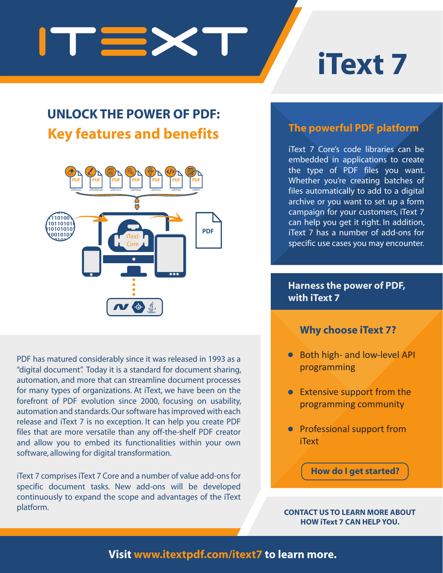

# **iText 7**

# **UNLOCK THE POWER OF PDF: Key features and benefits**



PDF has matured considerably since it was released in 1993 as a "digital document". Today it is a standard for document sharing, automation, and more that can streamline document processes for many types of organizations. At iText, we have been on the forefront of PDF evolution since 2000, focusing on usability, automation and standards. Our software has improved with each release and iText 7 is no exception. It can help you create PDF files that are more versatile than any off-the-shelf PDF creator and allow you to embed its functionalities within your own software, allowing for digital transformation.

iText 7 comprises iText 7 Core and a number of value add-ons for specific document tasks. New add-ons will be developed continuously to expand the scope and advantages of the iText platform. **CONTACT US TO LEARN MORE ABOUT** 

### **The powerful PDF platform**

iText 7 Core's code libraries can be embedded in applications to create the type of PDF files you want. Whether you're creating batches of files automatically to add to a digital archive or you want to set up a form campaign for your customers, iText 7 can help you get it right. In addition, iText 7 has a number of add-ons for specific use cases you may encounter.

#### **Harness the power of PDF, with iText 7**

#### **Why choose iText 7?**

- Both high- and low-level API programming
- **•** Extensive support from the programming community
- Professional support from iText

**How do I get started?**

**HOW iText 7 CAN HELP YOU.**

### **Visit www.itextpdf.com/itext7 to learn more.**